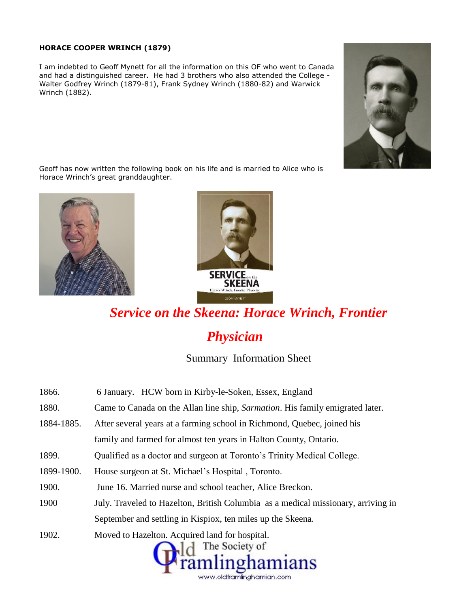#### **HORACE COOPER WRINCH (1879)**

I am indebted to Geoff Mynett for all the information on this OF who went to Canada and had a distinguished career. He had 3 brothers who also attended the College - Walter Godfrey Wrinch (1879-81), Frank Sydney Wrinch (1880-82) and Warwick Wrinch (1882).



Geoff has now written the following book on his life and is married to Alice who is Horace Wrinch's great granddaughter.





# *Service on the Skeena: Horace Wrinch, Frontier Physician*

Summary Information Sheet

| 1866.      | 6 January. HCW born in Kirby-le-Soken, Essex, England                                 |
|------------|---------------------------------------------------------------------------------------|
| 1880.      | Came to Canada on the Allan line ship, <i>Sarmation</i> . His family emigrated later. |
| 1884-1885. | After several years at a farming school in Richmond, Quebec, joined his               |
|            | family and farmed for almost ten years in Halton County, Ontario.                     |
| 1899.      | Qualified as a doctor and surgeon at Toronto's Trinity Medical College.               |
| 1899-1900. | House surgeon at St. Michael's Hospital, Toronto.                                     |
| 1900.      | June 16. Married nurse and school teacher, Alice Breckon.                             |
| 1900       | July. Traveled to Hazelton, British Columbia as a medical missionary, arriving in     |
|            | September and settling in Kispiox, ten miles up the Skeena.                           |
| 1902.      | Moved to Hazelton. Acquired land for hospital.<br>The Society of<br>Framlinghamians   |

www.oldframlinghamian.com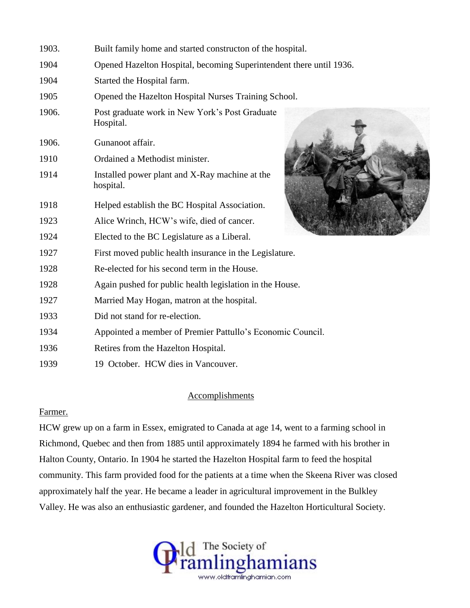| 1903. | Built family home and started constructon of the hospital.          |  |
|-------|---------------------------------------------------------------------|--|
| 1904  | Opened Hazelton Hospital, becoming Superintendent there until 1936. |  |
| 1904  | Started the Hospital farm.                                          |  |
| 1905  | Opened the Hazelton Hospital Nurses Training School.                |  |
| 1906. | Post graduate work in New York's Post Graduate<br>Hospital.         |  |
| 1906. | Gunanoot affair.                                                    |  |
| 1910  | Ordained a Methodist minister.                                      |  |
| 1914  | Installed power plant and X-Ray machine at the<br>hospital.         |  |
| 1918  | Helped establish the BC Hospital Association.                       |  |
| 1923  | Alice Wrinch, HCW's wife, died of cancer.                           |  |
| 1924  | Elected to the BC Legislature as a Liberal.                         |  |
| 1927  | First moved public health insurance in the Legislature.             |  |
| 1928  | Re-elected for his second term in the House.                        |  |
| 1928  | Again pushed for public health legislation in the House.            |  |
| 1927  | Married May Hogan, matron at the hospital.                          |  |
| 1933  | Did not stand for re-election.                                      |  |
| 1934  | Appointed a member of Premier Pattullo's Economic Council.          |  |
| 1936  | Retires from the Hazelton Hospital.                                 |  |
| 1939  | 19 October. HCW dies in Vancouver.                                  |  |

# **Accomplishments**

# Farmer.

HCW grew up on a farm in Essex, emigrated to Canada at age 14, went to a farming school in Richmond, Quebec and then from 1885 until approximately 1894 he farmed with his brother in Halton County, Ontario. In 1904 he started the Hazelton Hospital farm to feed the hospital community. This farm provided food for the patients at a time when the Skeena River was closed approximately half the year. He became a leader in agricultural improvement in the Bulkley Valley. He was also an enthusiastic gardener, and founded the Hazelton Horticultural Society.

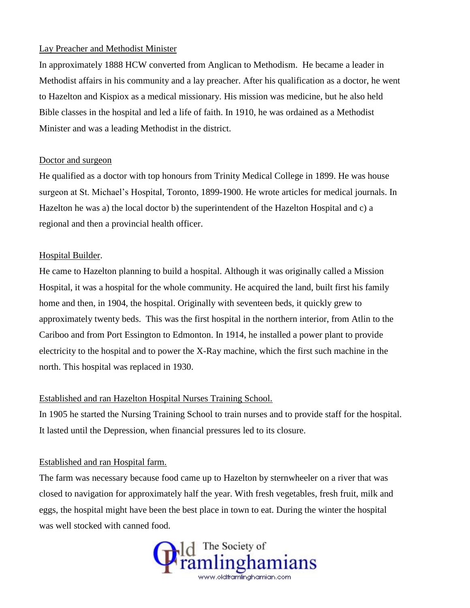## Lay Preacher and Methodist Minister

In approximately 1888 HCW converted from Anglican to Methodism. He became a leader in Methodist affairs in his community and a lay preacher. After his qualification as a doctor, he went to Hazelton and Kispiox as a medical missionary. His mission was medicine, but he also held Bible classes in the hospital and led a life of faith. In 1910, he was ordained as a Methodist Minister and was a leading Methodist in the district.

# Doctor and surgeon

He qualified as a doctor with top honours from Trinity Medical College in 1899. He was house surgeon at St. Michael's Hospital, Toronto, 1899-1900. He wrote articles for medical journals. In Hazelton he was a) the local doctor b) the superintendent of the Hazelton Hospital and c) a regional and then a provincial health officer.

# Hospital Builder.

He came to Hazelton planning to build a hospital. Although it was originally called a Mission Hospital, it was a hospital for the whole community. He acquired the land, built first his family home and then, in 1904, the hospital. Originally with seventeen beds, it quickly grew to approximately twenty beds. This was the first hospital in the northern interior, from Atlin to the Cariboo and from Port Essington to Edmonton. In 1914, he installed a power plant to provide electricity to the hospital and to power the X-Ray machine, which the first such machine in the north. This hospital was replaced in 1930.

# Established and ran Hazelton Hospital Nurses Training School.

In 1905 he started the Nursing Training School to train nurses and to provide staff for the hospital. It lasted until the Depression, when financial pressures led to its closure.

# Established and ran Hospital farm.

The farm was necessary because food came up to Hazelton by sternwheeler on a river that was closed to navigation for approximately half the year. With fresh vegetables, fresh fruit, milk and eggs, the hospital might have been the best place in town to eat. During the winter the hospital was well stocked with canned food.

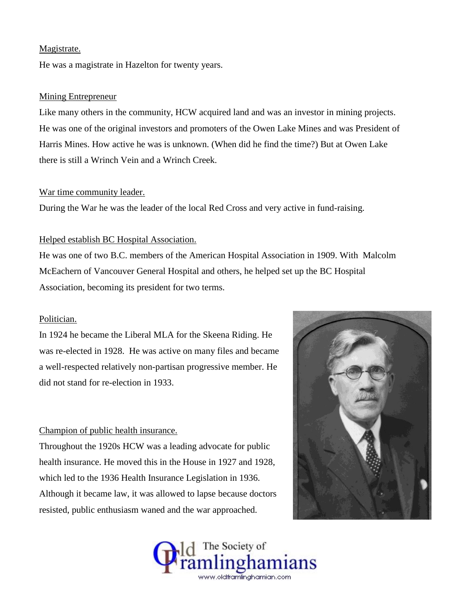### Magistrate.

He was a magistrate in Hazelton for twenty years.

#### Mining Entrepreneur

Like many others in the community, HCW acquired land and was an investor in mining projects. He was one of the original investors and promoters of the Owen Lake Mines and was President of Harris Mines. How active he was is unknown. (When did he find the time?) But at Owen Lake there is still a Wrinch Vein and a Wrinch Creek.

#### War time community leader.

During the War he was the leader of the local Red Cross and very active in fund-raising.

#### Helped establish BC Hospital Association.

He was one of two B.C. members of the American Hospital Association in 1909. With Malcolm McEachern of Vancouver General Hospital and others, he helped set up the BC Hospital Association, becoming its president for two terms.

## Politician.

In 1924 he became the Liberal MLA for the Skeena Riding. He was re-elected in 1928. He was active on many files and became a well-respected relatively non-partisan progressive member. He did not stand for re-election in 1933.

#### Champion of public health insurance.

Throughout the 1920s HCW was a leading advocate for public health insurance. He moved this in the House in 1927 and 1928, which led to the 1936 Health Insurance Legislation in 1936. Although it became law, it was allowed to lapse because doctors resisted, public enthusiasm waned and the war approached.



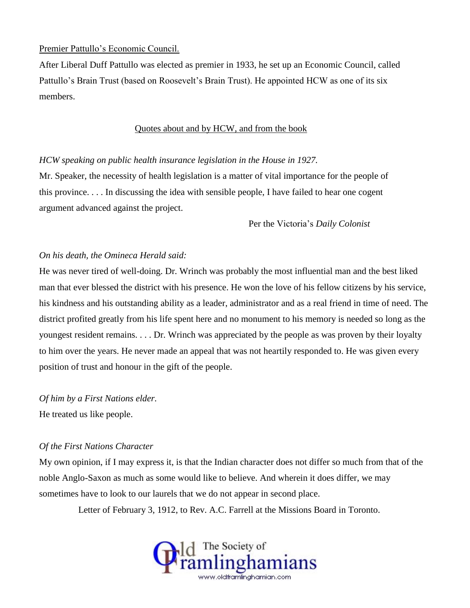# Premier Pattullo's Economic Council.

After Liberal Duff Pattullo was elected as premier in 1933, he set up an Economic Council, called Pattullo's Brain Trust (based on Roosevelt's Brain Trust). He appointed HCW as one of its six members.

## Quotes about and by HCW, and from the book

## *HCW speaking on public health insurance legislation in the House in 1927.*

Mr. Speaker, the necessity of health legislation is a matter of vital importance for the people of this province. . . . In discussing the idea with sensible people, I have failed to hear one cogent argument advanced against the project.

Per the Victoria's *Daily Colonist*

# *On his death, the Omineca Herald said:*

He was never tired of well-doing. Dr. Wrinch was probably the most influential man and the best liked man that ever blessed the district with his presence. He won the love of his fellow citizens by his service, his kindness and his outstanding ability as a leader, administrator and as a real friend in time of need. The district profited greatly from his life spent here and no monument to his memory is needed so long as the youngest resident remains. . . . Dr. Wrinch was appreciated by the people as was proven by their loyalty to him over the years. He never made an appeal that was not heartily responded to. He was given every position of trust and honour in the gift of the people.

# *Of him by a First Nations elder.*

He treated us like people.

# *Of the First Nations Character*

My own opinion, if I may express it, is that the Indian character does not differ so much from that of the noble Anglo-Saxon as much as some would like to believe. And wherein it does differ, we may sometimes have to look to our laurels that we do not appear in second place.

Letter of February 3, 1912, to Rev. A.C. Farrell at the Missions Board in Toronto.

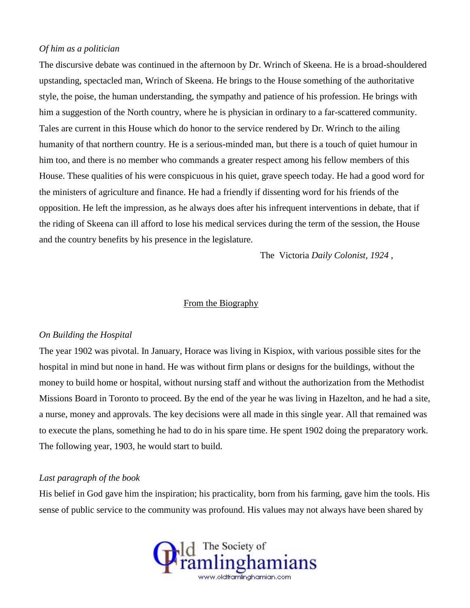## *Of him as a politician*

The discursive debate was continued in the afternoon by Dr. Wrinch of Skeena. He is a broad-shouldered upstanding, spectacled man, Wrinch of Skeena. He brings to the House something of the authoritative style, the poise, the human understanding, the sympathy and patience of his profession. He brings with him a suggestion of the North country, where he is physician in ordinary to a far-scattered community. Tales are current in this House which do honor to the service rendered by Dr. Wrinch to the ailing humanity of that northern country. He is a serious-minded man, but there is a touch of quiet humour in him too, and there is no member who commands a greater respect among his fellow members of this House. These qualities of his were conspicuous in his quiet, grave speech today. He had a good word for the ministers of agriculture and finance. He had a friendly if dissenting word for his friends of the opposition. He left the impression, as he always does after his infrequent interventions in debate, that if the riding of Skeena can ill afford to lose his medical services during the term of the session, the House and the country benefits by his presence in the legislature.

The Victoria *Daily Colonist, 1924* ,

### From the Biography

#### *On Building the Hospital*

The year 1902 was pivotal. In January, Horace was living in Kispiox, with various possible sites for the hospital in mind but none in hand. He was without firm plans or designs for the buildings, without the money to build home or hospital, without nursing staff and without the authorization from the Methodist Missions Board in Toronto to proceed. By the end of the year he was living in Hazelton, and he had a site, a nurse, money and approvals. The key decisions were all made in this single year. All that remained was to execute the plans, something he had to do in his spare time. He spent 1902 doing the preparatory work. The following year, 1903, he would start to build.

## *Last paragraph of the book*

His belief in God gave him the inspiration; his practicality, born from his farming, gave him the tools. His sense of public service to the community was profound. His values may not always have been shared by